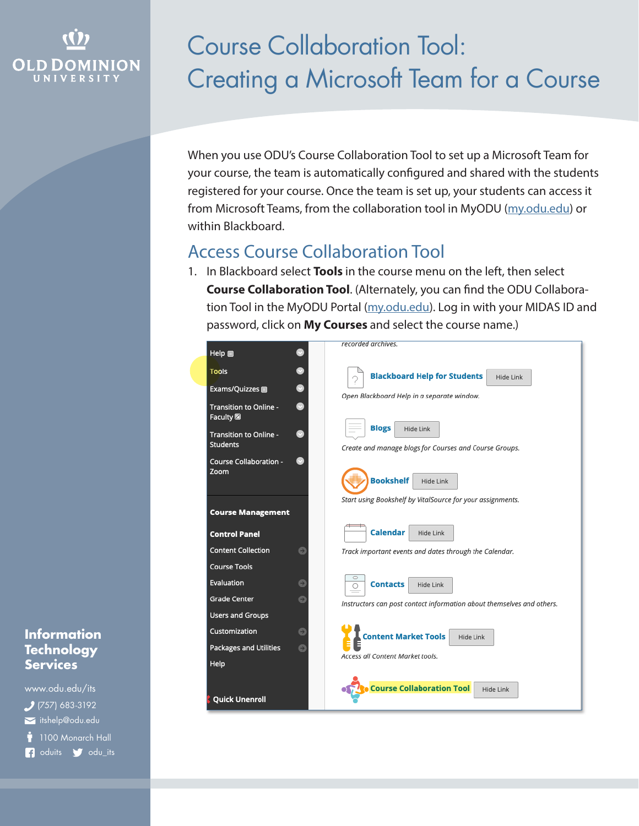## **OLD DOMINION UNIVERSITY**

# Course Collaboration Tool: Creating a Microsoft Team for a Course

When you use ODU's Course Collaboration Tool to set up a Microsoft Team for your course, the team is automatically configured and shared with the students registered for your course. Once the team is set up, your students can access it from Microsoft Teams, from the collaboration tool in MyODU ([my.odu.edu](https://my.odu.edu)) or within Blackboard.

## Access Course Collaboration Tool

1. In Blackboard select **Tools** in the course menu on the left, then select **Course Collaboration Tool**. (Alternately, you can find the ODU Collabora-tion Tool in the MyODU Portal [\(my.odu.edu\)](https://my.odu.edu). Log in with your MIDAS ID and password, click on **My Courses** and select the course name.)



#### **Information Technology Services**

www.odu.edu/its itshelp@odu.edu  $(757) 683-3192$ 1100 Monarch Hall **1** oduits **f** odu\_its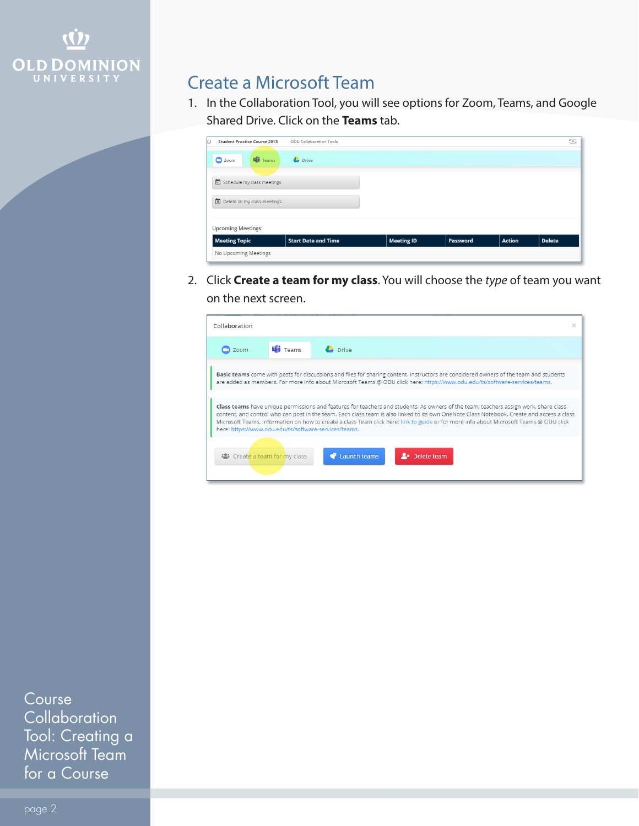

## Create a Microsoft Team

1. In the Collaboration Tool, you will see options for Zoom, Teams, and Google Shared Drive. Click on the **Teams** tab.

| <b>Student Practice Course 2013</b><br>с | ODU Collaboration Tools    |                   |          |               | $\odot$       |  |  |
|------------------------------------------|----------------------------|-------------------|----------|---------------|---------------|--|--|
| <b>E</b> Teams<br>C Zoom                 | <b>Drive</b>               |                   |          |               |               |  |  |
| in Schedule my class meetings            |                            |                   |          |               |               |  |  |
| Delete all my class meetings             |                            |                   |          |               |               |  |  |
| <b>Upcoming Meetings:</b>                |                            |                   |          |               |               |  |  |
| <b>Meeting Topic</b>                     | <b>Start Date and Time</b> | <b>Meeting ID</b> | Password | <b>Action</b> | <b>Delete</b> |  |  |
| No Upcoming Meetings                     |                            |                   |          |               |               |  |  |

2. Click **Create a team for my class**. You will choose the *type* of team you want on the next screen.

| Collaboration                                                                                                                                                                                                                                                                                                                                                                                                                                                                          |                  |                                        | × |  |  |
|----------------------------------------------------------------------------------------------------------------------------------------------------------------------------------------------------------------------------------------------------------------------------------------------------------------------------------------------------------------------------------------------------------------------------------------------------------------------------------------|------------------|----------------------------------------|---|--|--|
| Zoom                                                                                                                                                                                                                                                                                                                                                                                                                                                                                   | <b>THE Teams</b> | <b>Drive</b>                           |   |  |  |
| Basic teams come with posts for discussions and files for sharing content. Instructors are considered owners of the team and students<br>are added as members. For more info about Microsoft Teams @ ODU click here: https://www.odu.edu/ts/software-services/teams.                                                                                                                                                                                                                   |                  |                                        |   |  |  |
| Class teams have unique permissions and features for teachers and students. As owners of the team, teachers assign work, share class<br>content, and control who can post in the team. Each class team is also linked to its own OneNote Class Notebook. Create and access a class<br>Microsoft Teams. Information on how to create a class Team click here: link to guide or for more info about Microsoft Teams @ ODU click<br>here: https://www.odu.edu/ts/software-services/teams. |                  |                                        |   |  |  |
| <b>***</b> Create a team for my class                                                                                                                                                                                                                                                                                                                                                                                                                                                  |                  | Launch teams<br><b>A</b> * Delete team |   |  |  |

Course **Collaboration** Tool: Creating a Microsoft Team for a Course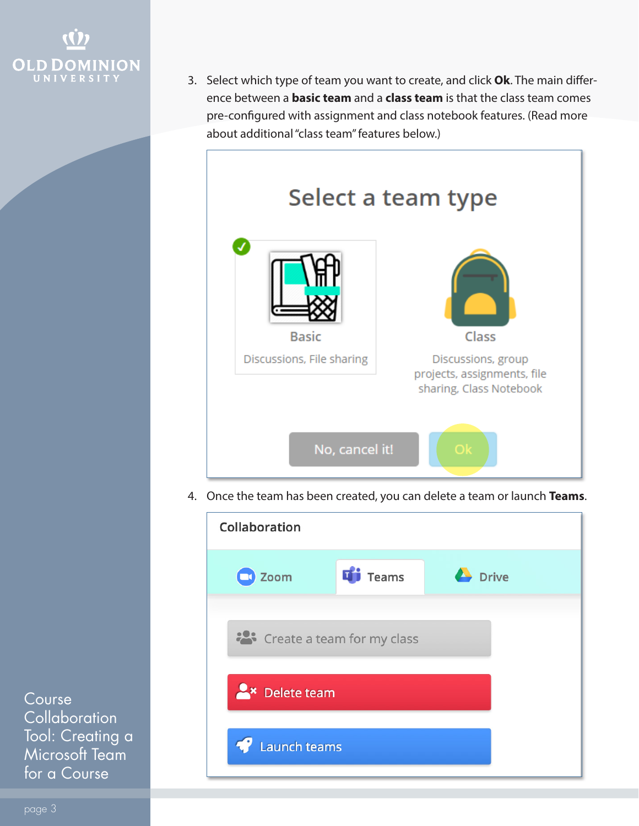

3. Select which type of team you want to create, and click **Ok**. The main difference between a **basic team** and a **class team** is that the class team comes pre-configured with assignment and class notebook features. (Read more about additional "class team" features below.)



4. Once the team has been created, you can delete a team or launch **Teams**.



Course **Collaboration** Tool: Creating a Microsoft Team for a Course